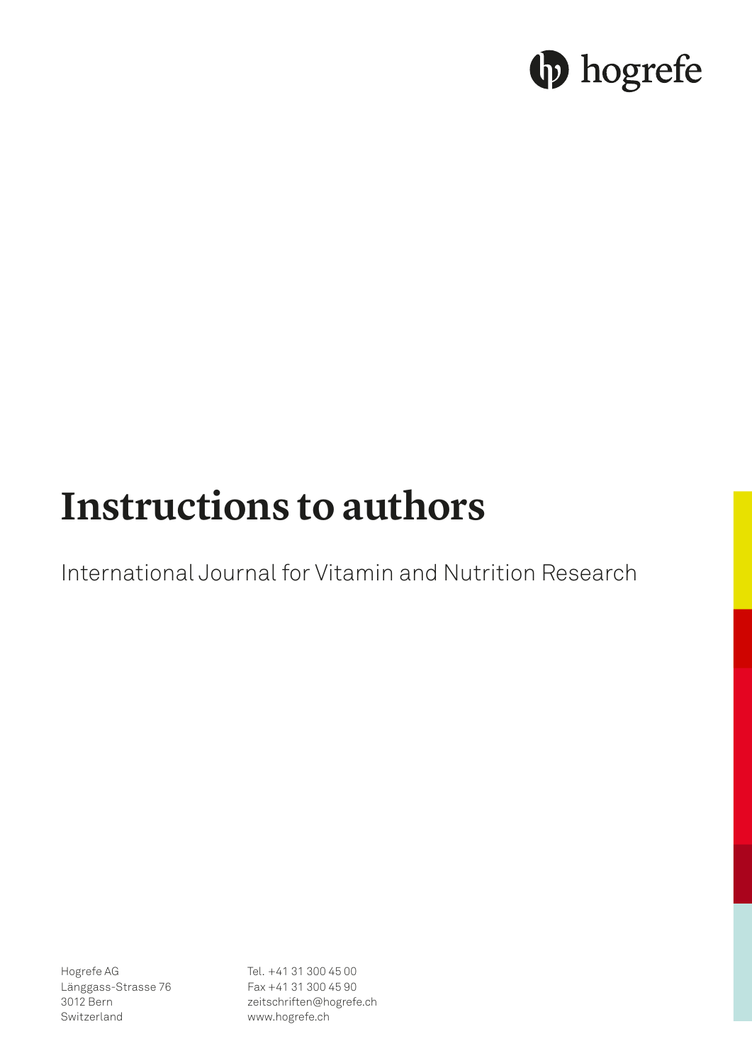# **b** hogrefe

# **Instructions to authors**

International Journal for Vitamin and Nutrition Research

Hogrefe AG Länggass-Strasse 76 3012 Bern Switzerland

Tel. +41 31 300 45 00 Fax +41 31 300 45 90 zeitschriften@hogrefe.ch www.hogrefe.ch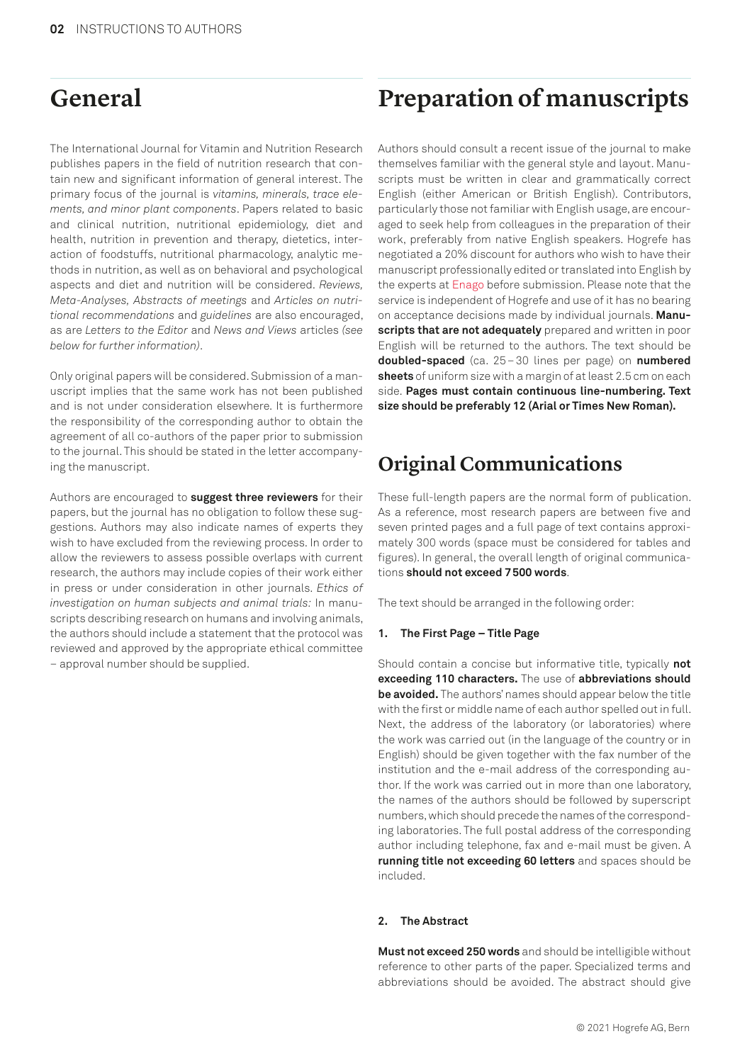## **General**

The International Journal for Vitamin and Nutrition Research publishes papers in the field of nutrition research that contain new and significant information of general interest. The primary focus of the journal is *vitamins, minerals, trace elements, and minor plant components*. Papers related to basic and clinical nutrition, nutritional epidemiology, diet and health, nutrition in prevention and therapy, dietetics, interaction of foodstuffs, nutritional pharmacology, analytic methods in nutrition, as well as on behavioral and psychological aspects and diet and nutrition will be considered. *Reviews, Meta-Analyses, Abstracts of meetings* and *Articles on nutritional recommendations* and *guidelines* are also encouraged, as are *Letters to the Editor* and *News and Views* articles *(see below for further information)*.

Only original papers will be considered. Submission of a manuscript implies that the same work has not been published and is not under consideration elsewhere. It is furthermore the responsibility of the corresponding author to obtain the agreement of all co-authors of the paper prior to submission to the journal. This should be stated in the letter accompanying the manuscript.

Authors are encouraged to **suggest three reviewers** for their papers, but the journal has no obligation to follow these suggestions. Authors may also indicate names of experts they wish to have excluded from the reviewing process. In order to allow the reviewers to assess possible overlaps with current research, the authors may include copies of their work either in press or under consideration in other journals. *Ethics of investigation on human subjects and animal trials:* In manuscripts describing research on humans and involving animals. the authors should include a statement that the protocol was reviewed and approved by the appropriate ethical committee – approval number should be supplied.

# **Preparation of manuscripts**

Authors should consult a recent issue of the journal to make themselves familiar with the general style and layout. Manuscripts must be written in clear and grammatically correct English (either American or British English). Contributors, particularly those not familiar with English usage, are encouraged to seek help from colleagues in the preparation of their work, preferably from native English speakers. Hogrefe has negotiated a 20% discount for authors who wish to have their manuscript professionally edited or translated into English by the experts at [Enago](https://www.enago.com/pub/hogrefe/) before submission. Please note that the service is independent of Hogrefe and use of it has no bearing on acceptance decisions made by individual journals. **Manuscripts that are not adequately** prepared and written in poor English will be returned to the authors. The text should be **doubled-spaced** (ca. 25–30 lines per page) on **numbered sheets** of uniform size with a margin of at least 2.5 cm on each side. **Pages must contain continuous line-numbering. Text size should be preferably 12 (Arial or Times New Roman).**

# **Original Communications**

These full-length papers are the normal form of publication. As a reference, most research papers are between five and seven printed pages and a full page of text contains approximately 300 words (space must be considered for tables and figures). In general, the overall length of original communications **should not exceed 7500 words**.

The text should be arranged in the following order:

#### **1. The First Page – Title Page**

Should contain a concise but informative title, typically **not exceeding 110 characters.** The use of **abbreviations should be avoided.** The authors' names should appear below the title with the first or middle name of each author spelled out in full. Next, the address of the laboratory (or laboratories) where the work was carried out (in the language of the country or in English) should be given together with the fax number of the institution and the e-mail address of the corresponding author. If the work was carried out in more than one laboratory, the names of the authors should be followed by superscript numbers, which should precede the names of the corresponding laboratories. The full postal address of the corresponding author including telephone, fax and e-mail must be given. A **running title not exceeding 60 letters** and spaces should be included.

#### **2. The Abstract**

**Must not exceed 250 words** and should be intelligible without reference to other parts of the paper. Specialized terms and abbreviations should be avoided. The abstract should give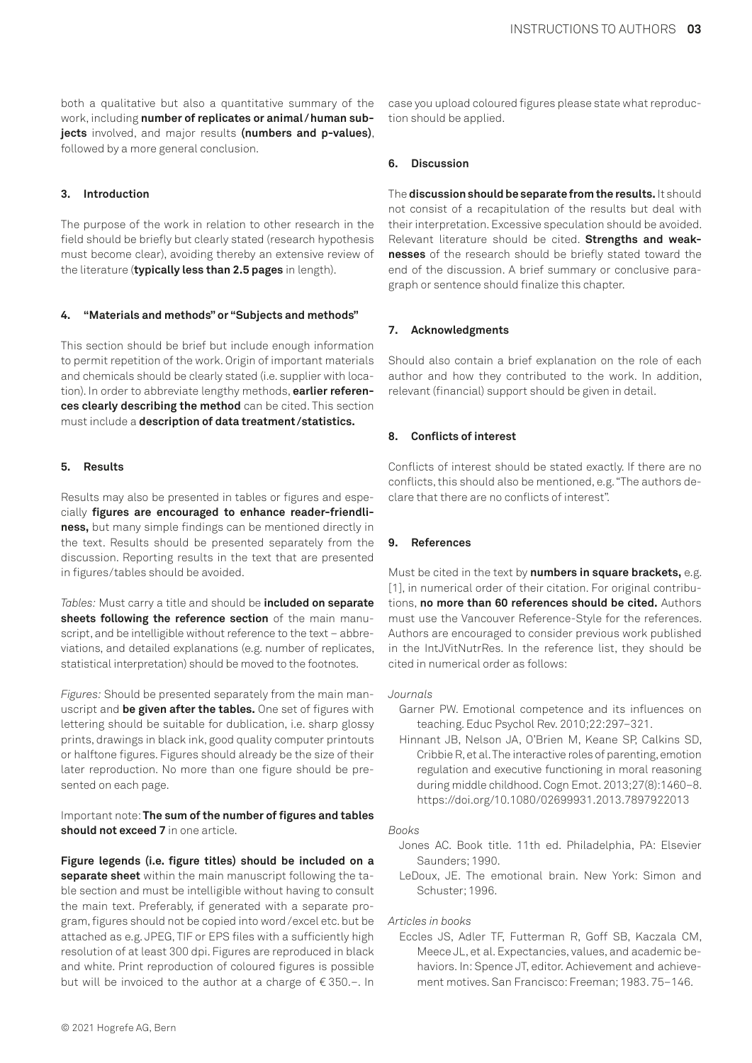both a qualitative but also a quantitative summary of the work, including **number of replicates or animal/human subjects** involved, and major results **(numbers and p-values)**, followed by a more general conclusion.

#### **3. Introduction**

The purpose of the work in relation to other research in the field should be briefly but clearly stated (research hypothesis must become clear), avoiding thereby an extensive review of the literature (**typically less than 2.5 pages** in length).

#### **4. "Materials and methods" or "Subjects and methods"**

This section should be brief but include enough information to permit repetition of the work. Origin of important materials and chemicals should be clearly stated (i.e. supplier with location). In order to abbreviate lengthy methods, **earlier references clearly describing the method** can be cited. This section must include a **description of data treatment /statistics.**

#### **5. Results**

Results may also be presented in tables or figures and especially **figures are encouraged to enhance reader-friendliness,** but many simple findings can be mentioned directly in the text. Results should be presented separately from the discussion. Reporting results in the text that are presented in figures/tables should be avoided.

*Tables:* Must carry a title and should be **included on separate sheets following the reference section** of the main manuscript, and be intelligible without reference to the text – abbreviations, and detailed explanations (e.g. number of replicates, statistical interpretation) should be moved to the footnotes.

*Figures:* Should be presented separately from the main manuscript and **be given after the tables.** One set of figures with lettering should be suitable for dublication, i.e. sharp glossy prints, drawings in black ink, good quality computer printouts or halftone figures. Figures should already be the size of their later reproduction. No more than one figure should be presented on each page.

Important note: **The sum of the number of figures and tables should not exceed 7** in one article.

**Figure legends (i.e. figure titles) should be included on a separate sheet** within the main manuscript following the table section and must be intelligible without having to consult the main text. Preferably, if generated with a separate program, figures should not be copied into word/excel etc. but be attached as e.g. JPEG, TIF or EPS files with a sufficiently high resolution of at least 300 dpi. Figures are reproduced in black and white. Print reproduction of coloured figures is possible but will be invoiced to the author at a charge of € 350.–. In

#### **6. Discussion**

The **discussion should be separate from the results.** It should not consist of a recapitulation of the results but deal with their interpretation. Excessive speculation should be avoided. Relevant literature should be cited. **Strengths and weaknesses** of the research should be briefly stated toward the end of the discussion. A brief summary or conclusive paragraph or sentence should finalize this chapter.

#### **7. Acknowledgments**

Should also contain a brief explanation on the role of each author and how they contributed to the work. In addition, relevant (financial) support should be given in detail.

#### **8. Conflicts of interest**

Conflicts of interest should be stated exactly. If there are no conflicts, this should also be mentioned, e.g. "The authors declare that there are no conflicts of interest".

#### **9. References**

Must be cited in the text by **numbers in square brackets,** e.g. [1], in numerical order of their citation. For original contributions, **no more than 60 references should be cited.** Authors must use the Vancouver Reference-Style for the references. Authors are encouraged to consider previous work published in the IntJVitNutrRes. In the reference list, they should be cited in numerical order as follows:

#### *Journals*

- Garner PW. Emotional competence and its influences on teaching. Educ Psychol Rev. 2010;22:297–321.
- Hinnant JB, Nelson JA, O'Brien M, Keane SP, Calkins SD, Cribbie R, et al. The interactive roles of parenting, emotion regulation and executive functioning in moral reasoning during middle childhood. Cogn Emot. 2013;27(8):1460–8. https://doi.org/10.1080/02699931.2013.7897922013

#### *Books*

- Jones AC. Book title. 11th ed. Philadelphia, PA: Elsevier Saunders; 1990.
- LeDoux, JE. The emotional brain. New York: Simon and Schuster; 1996.

#### *Articles in books*

Eccles JS, Adler TF, Futterman R, Goff SB, Kaczala CM, Meece JL, et al. Expectancies, values, and academic behaviors. In: Spence JT, editor. Achievement and achievement motives. San Francisco: Freeman; 1983. 75–146.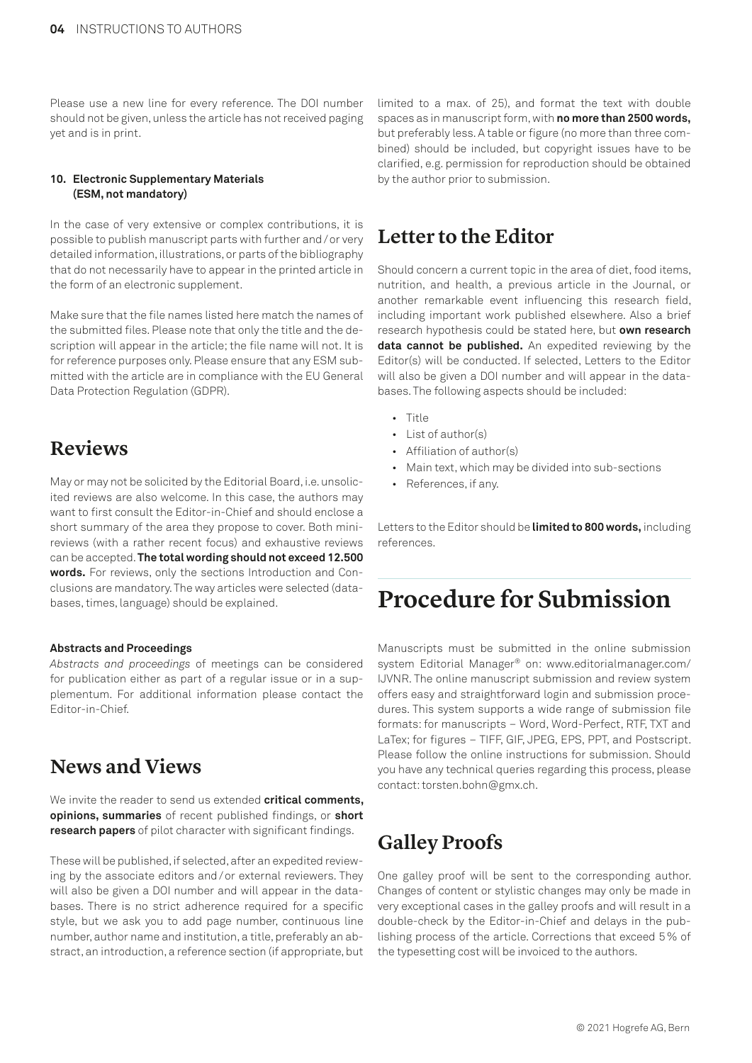Please use a new line for every reference. The DOI number should not be given, unless the article has not received paging yet and is in print.

#### **10. Electronic Supplementary Materials (ESM, not mandatory)**

In the case of very extensive or complex contributions, it is possible to publish manuscript parts with further and/or very detailed information, illustrations, or parts of the bibliography that do not necessarily have to appear in the printed article in the form of an electronic supplement.

Make sure that the file names listed here match the names of the submitted files. Please note that only the title and the description will appear in the article; the file name will not. It is for reference purposes only. Please ensure that any ESM submitted with the article are in compliance with the EU General Data Protection Regulation (GDPR).

### **Reviews**

May or may not be solicited by the Editorial Board, i.e. unsolicited reviews are also welcome. In this case, the authors may want to first consult the Editor-in-Chief and should enclose a short summary of the area they propose to cover. Both minireviews (with a rather recent focus) and exhaustive reviews can be accepted. **The total wording should not exceed 12.500 words.** For reviews, only the sections Introduction and Conclusions are mandatory. The way articles were selected (databases, times, language) should be explained.

#### **Abstracts and Proceedings**

*Abstracts and proceedings* of meetings can be considered for publication either as part of a regular issue or in a supplementum. For additional information please contact the Editor-in-Chief.

## **News and Views**

We invite the reader to send us extended **critical comments, opinions, summaries** of recent published findings, or **short research papers** of pilot character with significant findings.

These will be published, if selected, after an expedited reviewing by the associate editors and/or external reviewers. They will also be given a DOI number and will appear in the databases. There is no strict adherence required for a specific style, but we ask you to add page number, continuous line number, author name and institution, a title, preferably an abstract, an introduction, a reference section (if appropriate, but

limited to a max. of 25), and format the text with double spaces as in manuscript form, with **no more than 2500 words,** but preferably less. A table or figure (no more than three combined) should be included, but copyright issues have to be clarified, e.g. permission for reproduction should be obtained by the author prior to submission.

### **Letter to the Editor**

Should concern a current topic in the area of diet, food items, nutrition, and health, a previous article in the Journal, or another remarkable event influencing this research field, including important work published elsewhere. Also a brief research hypothesis could be stated here, but **own research data cannot be published.** An expedited reviewing by the Editor(s) will be conducted. If selected, Letters to the Editor will also be given a DOI number and will appear in the databases. The following aspects should be included:

- Title
- List of author(s)
- Affiliation of author(s)
- Main text, which may be divided into sub-sections
- References, if any.

Letters to the Editor should be **limited to 800 words,** including references.

# **Procedure for Submission**

Manuscripts must be submitted in the online submission system Editorial Manager® on: www.editorialmanager.com/ IJVNR. The online manuscript submission and review system offers easy and straightforward login and submission procedures. This system supports a wide range of submission file formats: for manuscripts – Word, Word-Perfect, RTF, TXT and LaTex; for figures – TIFF, GIF, JPEG, EPS, PPT, and Postscript. Please follow the online instructions for submission. Should you have any technical queries regarding this process, please contact: torsten.bohn@gmx.ch.

# **Galley Proofs**

One galley proof will be sent to the corresponding author. Changes of content or stylistic changes may only be made in very exceptional cases in the galley proofs and will result in a double-check by the Editor-in-Chief and delays in the publishing process of the article. Corrections that exceed 5% of the typesetting cost will be invoiced to the authors.